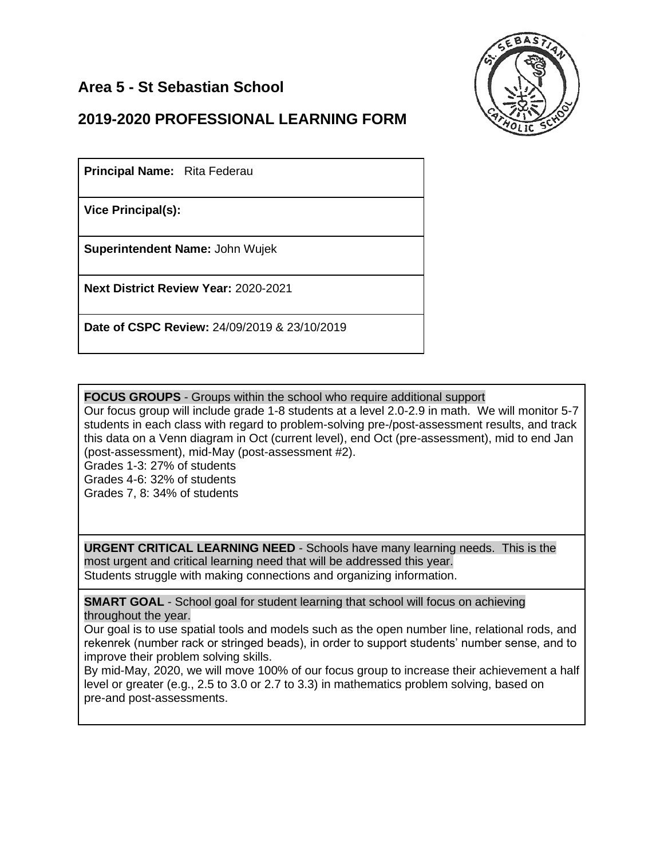## **Area 5 - St Sebastian School**



## **2019-2020 PROFESSIONAL LEARNING FORM**

**Principal Name:** Rita Federau

**Vice Principal(s):**

**Superintendent Name:** John Wujek

**Next District Review Year:** 2020-2021

**Date of CSPC Review:** 24/09/2019 & 23/10/2019

**FOCUS GROUPS** - Groups within the school who require additional support

Our focus group will include grade 1-8 students at a level 2.0-2.9 in math. We will monitor 5-7 students in each class with regard to problem-solving pre-/post-assessment results, and track this data on a Venn diagram in Oct (current level), end Oct (pre-assessment), mid to end Jan (post-assessment), mid-May (post-assessment #2).

Grades 1-3: 27% of students Grades 4-6: 32% of students Grades 7, 8: 34% of students

**URGENT CRITICAL LEARNING NEED** - Schools have many learning needs. This is the most urgent and critical learning need that will be addressed this year. Students struggle with making connections and organizing information.

**SMART GOAL** - School goal for student learning that school will focus on achieving throughout the year.

Our goal is to use spatial tools and models such as the open number line, relational rods, and rekenrek (number rack or stringed beads), in order to support students' number sense, and to improve their problem solving skills.

By mid-May, 2020, we will move 100% of our focus group to increase their achievement a half level or greater (e.g., 2.5 to 3.0 or 2.7 to 3.3) in mathematics problem solving, based on pre-and post-assessments.